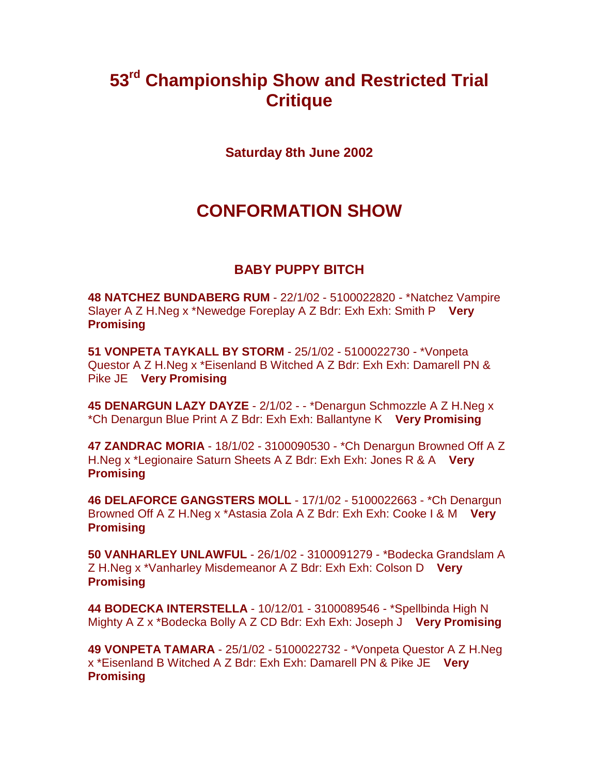# **53rd Championship Show and Restricted Trial Critique**

**Saturday 8th June 2002**

# **CONFORMATION SHOW**

# **BABY PUPPY BITCH**

**48 NATCHEZ BUNDABERG RUM** - 22/1/02 - 5100022820 - \*Natchez Vampire Slayer A Z H.Neg x \*Newedge Foreplay A Z Bdr: Exh Exh: Smith P **Very Promising**

**51 VONPETA TAYKALL BY STORM** - 25/1/02 - 5100022730 - \*Vonpeta Questor A Z H.Neg x \*Eisenland B Witched A Z Bdr: Exh Exh: Damarell PN & Pike JE **Very Promising**

**45 DENARGUN LAZY DAYZE** - 2/1/02 - - \*Denargun Schmozzle A Z H.Neg x \*Ch Denargun Blue Print A Z Bdr: Exh Exh: Ballantyne K **Very Promising**

**47 ZANDRAC MORIA** - 18/1/02 - 3100090530 - \*Ch Denargun Browned Off A Z H.Neg x \*Legionaire Saturn Sheets A Z Bdr: Exh Exh: Jones R & A **Very Promising**

**46 DELAFORCE GANGSTERS MOLL** - 17/1/02 - 5100022663 - \*Ch Denargun Browned Off A Z H.Neg x \*Astasia Zola A Z Bdr: Exh Exh: Cooke I & M **Very Promising**

**50 VANHARLEY UNLAWFUL** - 26/1/02 - 3100091279 - \*Bodecka Grandslam A Z H.Neg x \*Vanharley Misdemeanor A Z Bdr: Exh Exh: Colson D **Very Promising**

**44 BODECKA INTERSTELLA** - 10/12/01 - 3100089546 - \*Spellbinda High N Mighty A Z x \*Bodecka Bolly A Z CD Bdr: Exh Exh: Joseph J **Very Promising**

**49 VONPETA TAMARA** - 25/1/02 - 5100022732 - \*Vonpeta Questor A Z H.Neg x \*Eisenland B Witched A Z Bdr: Exh Exh: Damarell PN & Pike JE **Very Promising**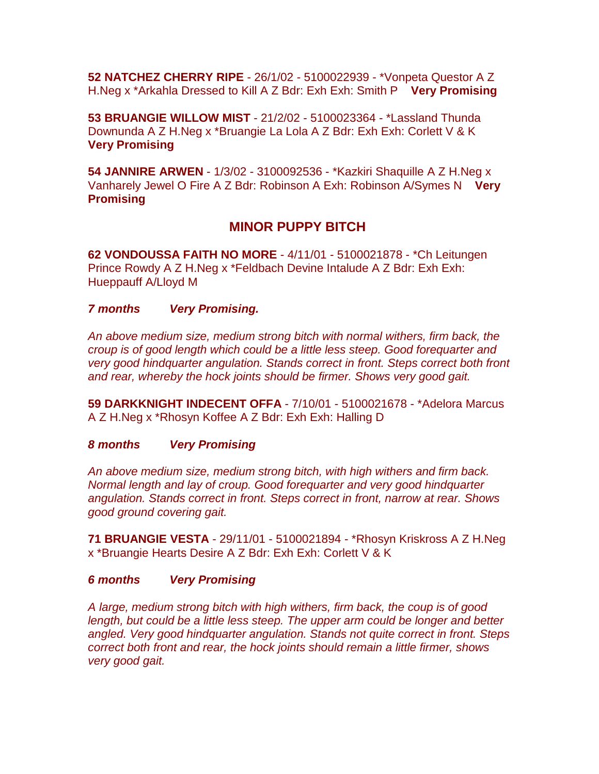**52 NATCHEZ CHERRY RIPE** - 26/1/02 - 5100022939 - \*Vonpeta Questor A Z H.Neg x \*Arkahla Dressed to Kill A Z Bdr: Exh Exh: Smith P **Very Promising**

**53 BRUANGIE WILLOW MIST** - 21/2/02 - 5100023364 - \*Lassland Thunda Downunda A Z H.Neg x \*Bruangie La Lola A Z Bdr: Exh Exh: Corlett V & K **Very Promising**

**54 JANNIRE ARWEN** - 1/3/02 - 3100092536 - \*Kazkiri Shaquille A Z H.Neg x Vanharely Jewel O Fire A Z Bdr: Robinson A Exh: Robinson A/Symes N **Very Promising**

## **MINOR PUPPY BITCH**

**62 VONDOUSSA FAITH NO MORE** - 4/11/01 - 5100021878 - \*Ch Leitungen Prince Rowdy A Z H.Neg x \*Feldbach Devine Intalude A Z Bdr: Exh Exh: Hueppauff A/Lloyd M

## *7 months Very Promising.*

*An above medium size, medium strong bitch with normal withers, firm back, the croup is of good length which could be a little less steep. Good forequarter and very good hindquarter angulation. Stands correct in front. Steps correct both front and rear, whereby the hock joints should be firmer. Shows very good gait.*

**59 DARKKNIGHT INDECENT OFFA** - 7/10/01 - 5100021678 - \*Adelora Marcus A Z H.Neg x \*Rhosyn Koffee A Z Bdr: Exh Exh: Halling D

#### *8 months Very Promising*

*An above medium size, medium strong bitch, with high withers and firm back. Normal length and lay of croup. Good forequarter and very good hindquarter angulation. Stands correct in front. Steps correct in front, narrow at rear. Shows good ground covering gait.*

**71 BRUANGIE VESTA** - 29/11/01 - 5100021894 - \*Rhosyn Kriskross A Z H.Neg x \*Bruangie Hearts Desire A Z Bdr: Exh Exh: Corlett V & K

## *6 months Very Promising*

*A large, medium strong bitch with high withers, firm back, the coup is of good length, but could be a little less steep. The upper arm could be longer and better angled. Very good hindquarter angulation. Stands not quite correct in front. Steps correct both front and rear, the hock joints should remain a little firmer, shows very good gait.*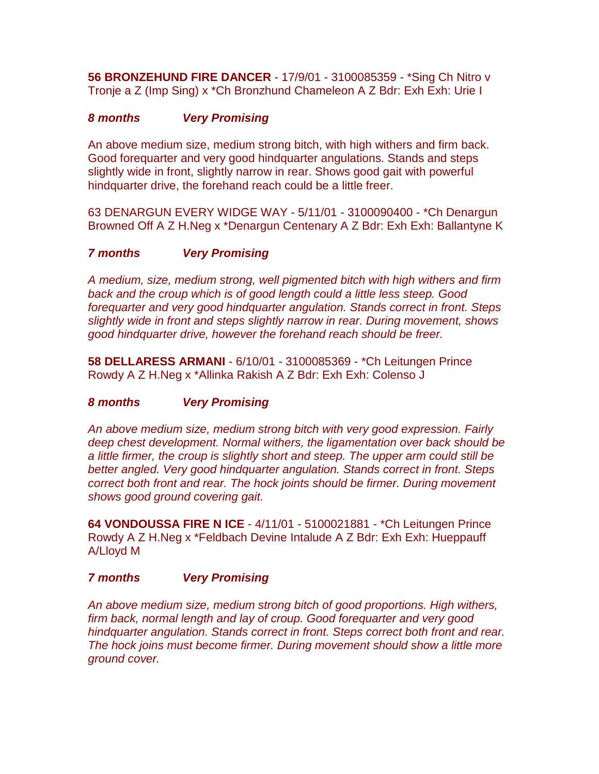**56 BRONZEHUND FIRE DANCER** - 17/9/01 - 3100085359 - \*Sing Ch Nitro v Tronje a Z (Imp Sing) x \*Ch Bronzhund Chameleon A Z Bdr: Exh Exh: Urie I

## *8 months Very Promising*

An above medium size, medium strong bitch, with high withers and firm back. Good forequarter and very good hindquarter angulations. Stands and steps slightly wide in front, slightly narrow in rear. Shows good gait with powerful hindquarter drive, the forehand reach could be a little freer.

63 DENARGUN EVERY WIDGE WAY - 5/11/01 - 3100090400 - \*Ch Denargun Browned Off A Z H.Neg x \*Denargun Centenary A Z Bdr: Exh Exh: Ballantyne K

## *7 months Very Promising*

*A medium, size, medium strong, well pigmented bitch with high withers and firm back and the croup which is of good length could a little less steep. Good forequarter and very good hindquarter angulation. Stands correct in front. Steps slightly wide in front and steps slightly narrow in rear. During movement, shows good hindquarter drive, however the forehand reach should be freer.*

**58 DELLARESS ARMANI** - 6/10/01 - 3100085369 - \*Ch Leitungen Prince Rowdy A Z H.Neg x \*Allinka Rakish A Z Bdr: Exh Exh: Colenso J

## *8 months Very Promising*

*An above medium size, medium strong bitch with very good expression. Fairly deep chest development. Normal withers, the ligamentation over back should be a little firmer, the croup is slightly short and steep. The upper arm could still be better angled. Very good hindquarter angulation. Stands correct in front. Steps correct both front and rear. The hock joints should be firmer. During movement shows good ground covering gait.*

**64 VONDOUSSA FIRE N ICE** - 4/11/01 - 5100021881 - \*Ch Leitungen Prince Rowdy A Z H.Neg x \*Feldbach Devine Intalude A Z Bdr: Exh Exh: Hueppauff A/Lloyd M

## *7 months Very Promising*

*An above medium size, medium strong bitch of good proportions. High withers, firm back, normal length and lay of croup. Good forequarter and very good hindquarter angulation. Stands correct in front. Steps correct both front and rear. The hock joins must become firmer. During movement should show a little more ground cover.*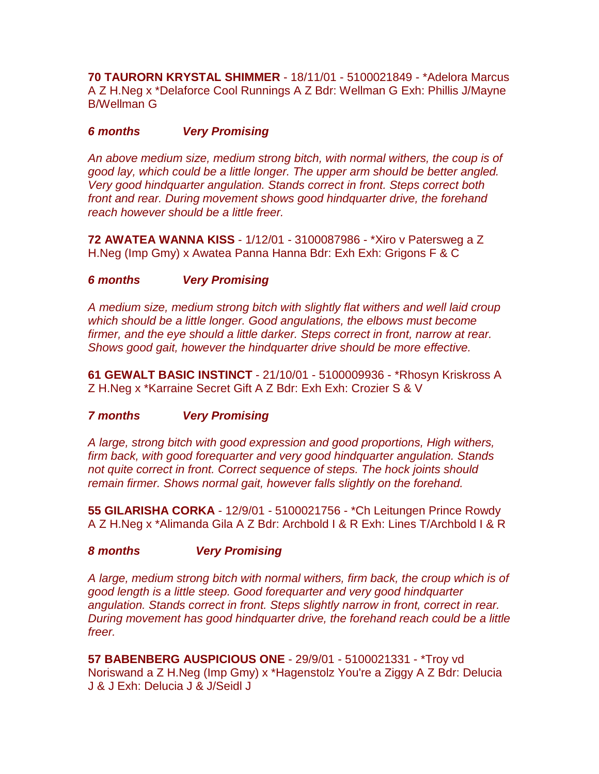**70 TAURORN KRYSTAL SHIMMER** - 18/11/01 - 5100021849 - \*Adelora Marcus A Z H.Neg x \*Delaforce Cool Runnings A Z Bdr: Wellman G Exh: Phillis J/Mayne B/Wellman G

## *6 months Very Promising*

*An above medium size, medium strong bitch, with normal withers, the coup is of good lay, which could be a little longer. The upper arm should be better angled. Very good hindquarter angulation. Stands correct in front. Steps correct both front and rear. During movement shows good hindquarter drive, the forehand reach however should be a little freer.*

**72 AWATEA WANNA KISS** - 1/12/01 - 3100087986 - \*Xiro v Patersweg a Z H.Neg (Imp Gmy) x Awatea Panna Hanna Bdr: Exh Exh: Grigons F & C

## *6 months Very Promising*

*A medium size, medium strong bitch with slightly flat withers and well laid croup which should be a little longer. Good angulations, the elbows must become firmer, and the eye should a little darker. Steps correct in front, narrow at rear. Shows good gait, however the hindquarter drive should be more effective.*

**61 GEWALT BASIC INSTINCT** - 21/10/01 - 5100009936 - \*Rhosyn Kriskross A Z H.Neg x \*Karraine Secret Gift A Z Bdr: Exh Exh: Crozier S & V

## *7 months Very Promising*

*A large, strong bitch with good expression and good proportions, High withers, firm back, with good forequarter and very good hindquarter angulation. Stands not quite correct in front. Correct sequence of steps. The hock joints should remain firmer. Shows normal gait, however falls slightly on the forehand.*

**55 GILARISHA CORKA** - 12/9/01 - 5100021756 - \*Ch Leitungen Prince Rowdy A Z H.Neg x \*Alimanda Gila A Z Bdr: Archbold I & R Exh: Lines T/Archbold I & R

## *8 months Very Promising*

*A large, medium strong bitch with normal withers, firm back, the croup which is of good length is a little steep. Good forequarter and very good hindquarter angulation. Stands correct in front. Steps slightly narrow in front, correct in rear. During movement has good hindquarter drive, the forehand reach could be a little freer.*

**57 BABENBERG AUSPICIOUS ONE** - 29/9/01 - 5100021331 - \*Troy vd Noriswand a Z H.Neg (Imp Gmy) x \*Hagenstolz You're a Ziggy A Z Bdr: Delucia J & J Exh: Delucia J & J/Seidl J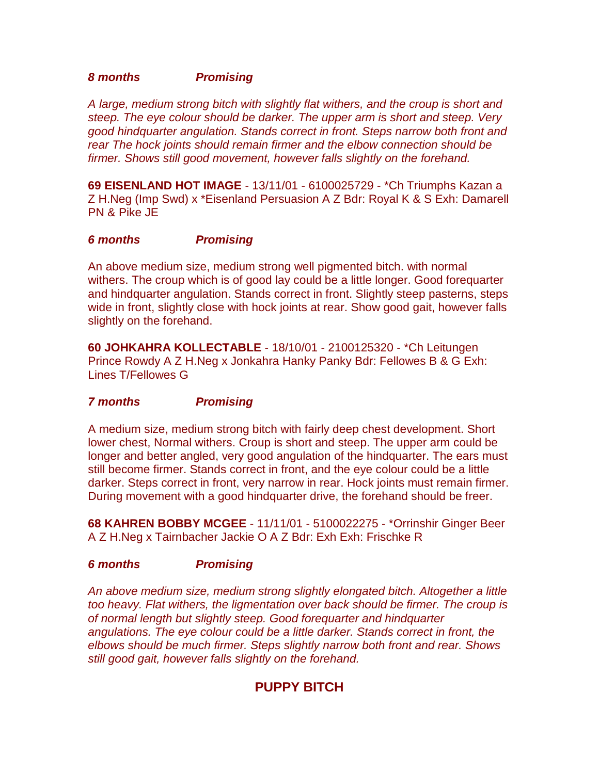#### *8 months Promising*

*A large, medium strong bitch with slightly flat withers, and the croup is short and steep. The eye colour should be darker. The upper arm is short and steep. Very good hindquarter angulation. Stands correct in front. Steps narrow both front and rear The hock joints should remain firmer and the elbow connection should be firmer. Shows still good movement, however falls slightly on the forehand.*

**69 EISENLAND HOT IMAGE** - 13/11/01 - 6100025729 - \*Ch Triumphs Kazan a Z H.Neg (Imp Swd) x \*Eisenland Persuasion A Z Bdr: Royal K & S Exh: Damarell PN & Pike JE

## *6 months Promising*

An above medium size, medium strong well pigmented bitch. with normal withers. The croup which is of good lay could be a little longer. Good forequarter and hindquarter angulation. Stands correct in front. Slightly steep pasterns, steps wide in front, slightly close with hock joints at rear. Show good gait, however falls slightly on the forehand.

**60 JOHKAHRA KOLLECTABLE** - 18/10/01 - 2100125320 - \*Ch Leitungen Prince Rowdy A Z H.Neg x Jonkahra Hanky Panky Bdr: Fellowes B & G Exh: Lines T/Fellowes G

## *7 months Promising*

A medium size, medium strong bitch with fairly deep chest development. Short lower chest, Normal withers. Croup is short and steep. The upper arm could be longer and better angled, very good angulation of the hindquarter. The ears must still become firmer. Stands correct in front, and the eye colour could be a little darker. Steps correct in front, very narrow in rear. Hock joints must remain firmer. During movement with a good hindquarter drive, the forehand should be freer.

**68 KAHREN BOBBY MCGEE** - 11/11/01 - 5100022275 - \*Orrinshir Ginger Beer A Z H.Neg x Tairnbacher Jackie O A Z Bdr: Exh Exh: Frischke R

## *6 months Promising*

*An above medium size, medium strong slightly elongated bitch. Altogether a little too heavy. Flat withers, the ligmentation over back should be firmer. The croup is of normal length but slightly steep. Good forequarter and hindquarter angulations. The eye colour could be a little darker. Stands correct in front, the elbows should be much firmer. Steps slightly narrow both front and rear. Shows still good gait, however falls slightly on the forehand.*

# **PUPPY BITCH**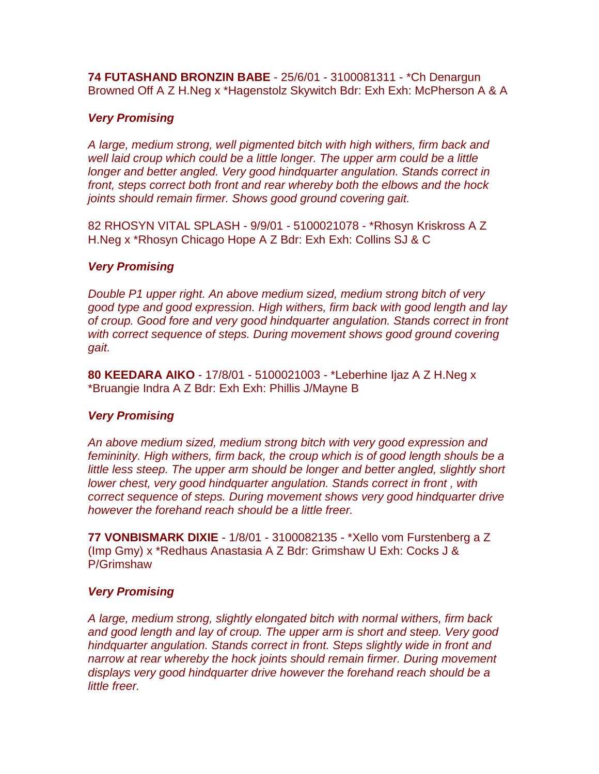**74 FUTASHAND BRONZIN BABE** - 25/6/01 - 3100081311 - \*Ch Denargun Browned Off A Z H.Neg x \*Hagenstolz Skywitch Bdr: Exh Exh: McPherson A & A

## *Very Promising*

*A large, medium strong, well pigmented bitch with high withers, firm back and well laid croup which could be a little longer. The upper arm could be a little longer and better angled. Very good hindquarter angulation. Stands correct in front, steps correct both front and rear whereby both the elbows and the hock joints should remain firmer. Shows good ground covering gait.*

82 RHOSYN VITAL SPLASH - 9/9/01 - 5100021078 - \*Rhosyn Kriskross A Z H.Neg x \*Rhosyn Chicago Hope A Z Bdr: Exh Exh: Collins SJ & C

## *Very Promising*

*Double P1 upper right. An above medium sized, medium strong bitch of very good type and good expression. High withers, firm back with good length and lay of croup. Good fore and very good hindquarter angulation. Stands correct in front with correct sequence of steps. During movement shows good ground covering gait.*

**80 KEEDARA AIKO** - 17/8/01 - 5100021003 - \*Leberhine Ijaz A Z H.Neg x \*Bruangie Indra A Z Bdr: Exh Exh: Phillis J/Mayne B

## *Very Promising*

*An above medium sized, medium strong bitch with very good expression and femininity. High withers, firm back, the croup which is of good length shouls be a*  little less steep. The upper arm should be longer and better angled, slightly short *lower chest, very good hindquarter angulation. Stands correct in front, with correct sequence of steps. During movement shows very good hindquarter drive however the forehand reach should be a little freer.*

**77 VONBISMARK DIXIE** - 1/8/01 - 3100082135 - \*Xello vom Furstenberg a Z (Imp Gmy) x \*Redhaus Anastasia A Z Bdr: Grimshaw U Exh: Cocks J & P/Grimshaw

## *Very Promising*

*A large, medium strong, slightly elongated bitch with normal withers, firm back and good length and lay of croup. The upper arm is short and steep. Very good hindquarter angulation. Stands correct in front. Steps slightly wide in front and narrow at rear whereby the hock joints should remain firmer. During movement displays very good hindquarter drive however the forehand reach should be a little freer.*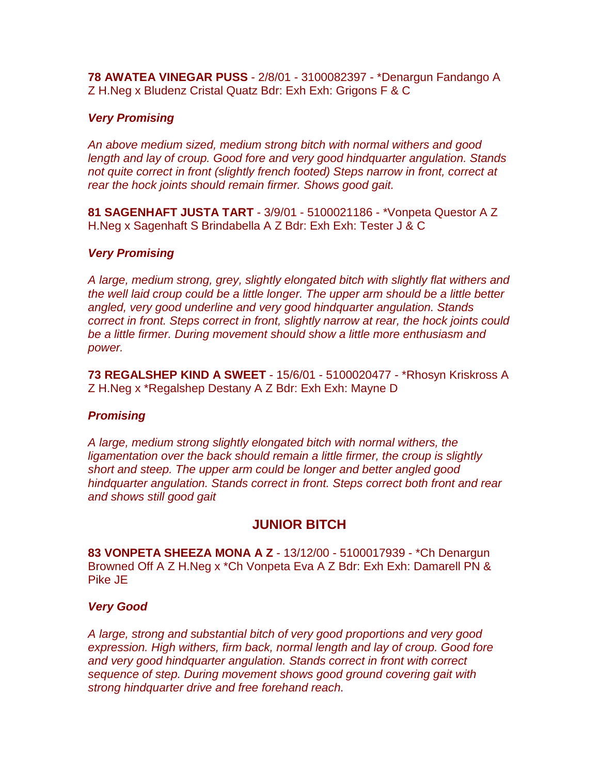**78 AWATEA VINEGAR PUSS** - 2/8/01 - 3100082397 - \*Denargun Fandango A Z H.Neg x Bludenz Cristal Quatz Bdr: Exh Exh: Grigons F & C

## *Very Promising*

*An above medium sized, medium strong bitch with normal withers and good length and lay of croup. Good fore and very good hindquarter angulation. Stands not quite correct in front (slightly french footed) Steps narrow in front, correct at rear the hock joints should remain firmer. Shows good gait.*

**81 SAGENHAFT JUSTA TART** - 3/9/01 - 5100021186 - \*Vonpeta Questor A Z H.Neg x Sagenhaft S Brindabella A Z Bdr: Exh Exh: Tester J & C

## *Very Promising*

*A large, medium strong, grey, slightly elongated bitch with slightly flat withers and the well laid croup could be a little longer. The upper arm should be a little better angled, very good underline and very good hindquarter angulation. Stands correct in front. Steps correct in front, slightly narrow at rear, the hock joints could be a little firmer. During movement should show a little more enthusiasm and power.*

**73 REGALSHEP KIND A SWEET** - 15/6/01 - 5100020477 - \*Rhosyn Kriskross A Z H.Neg x \*Regalshep Destany A Z Bdr: Exh Exh: Mayne D

## *Promising*

*A large, medium strong slightly elongated bitch with normal withers, the ligamentation over the back should remain a little firmer, the croup is slightly short and steep. The upper arm could be longer and better angled good hindquarter angulation. Stands correct in front. Steps correct both front and rear and shows still good gait*

# **JUNIOR BITCH**

**83 VONPETA SHEEZA MONA A Z** - 13/12/00 - 5100017939 - \*Ch Denargun Browned Off A Z H.Neg x \*Ch Vonpeta Eva A Z Bdr: Exh Exh: Damarell PN & Pike JE

## *Very Good*

*A large, strong and substantial bitch of very good proportions and very good expression. High withers, firm back, normal length and lay of croup. Good fore and very good hindquarter angulation. Stands correct in front with correct sequence of step. During movement shows good ground covering gait with strong hindquarter drive and free forehand reach.*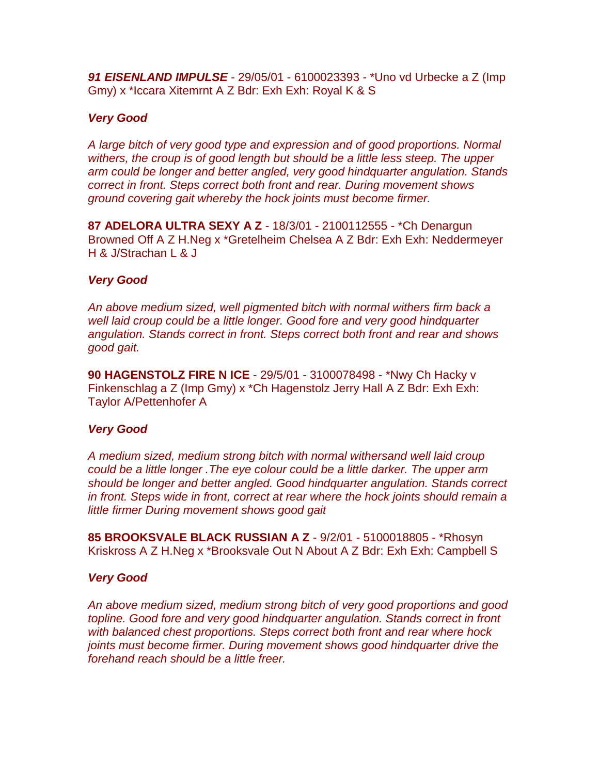*91 EISENLAND IMPULSE* - 29/05/01 - 6100023393 - \*Uno vd Urbecke a Z (Imp Gmy) x \*Iccara Xitemrnt A Z Bdr: Exh Exh: Royal K & S

#### *Very Good*

*A large bitch of very good type and expression and of good proportions. Normal withers, the croup is of good length but should be a little less steep. The upper arm could be longer and better angled, very good hindquarter angulation. Stands correct in front. Steps correct both front and rear. During movement shows ground covering gait whereby the hock joints must become firmer.*

**87 ADELORA ULTRA SEXY A Z** - 18/3/01 - 2100112555 - \*Ch Denargun Browned Off A Z H.Neg x \*Gretelheim Chelsea A Z Bdr: Exh Exh: Neddermeyer H & J/Strachan L & J

#### *Very Good*

*An above medium sized, well pigmented bitch with normal withers firm back a well laid croup could be a little longer. Good fore and very good hindquarter angulation. Stands correct in front. Steps correct both front and rear and shows good gait.*

**90 HAGENSTOLZ FIRE N ICE** - 29/5/01 - 3100078498 - \*Nwy Ch Hacky v Finkenschlag a Z (Imp Gmy) x \*Ch Hagenstolz Jerry Hall A Z Bdr: Exh Exh: Taylor A/Pettenhofer A

## *Very Good*

*A medium sized, medium strong bitch with normal withersand well laid croup could be a little longer .The eye colour could be a little darker. The upper arm should be longer and better angled. Good hindquarter angulation. Stands correct in front. Steps wide in front, correct at rear where the hock joints should remain a little firmer During movement shows good gait*

**85 BROOKSVALE BLACK RUSSIAN A Z** - 9/2/01 - 5100018805 - \*Rhosyn Kriskross A Z H.Neg x \*Brooksvale Out N About A Z Bdr: Exh Exh: Campbell S

#### *Very Good*

*An above medium sized, medium strong bitch of very good proportions and good topline. Good fore and very good hindquarter angulation. Stands correct in front with balanced chest proportions. Steps correct both front and rear where hock joints must become firmer. During movement shows good hindquarter drive the forehand reach should be a little freer.*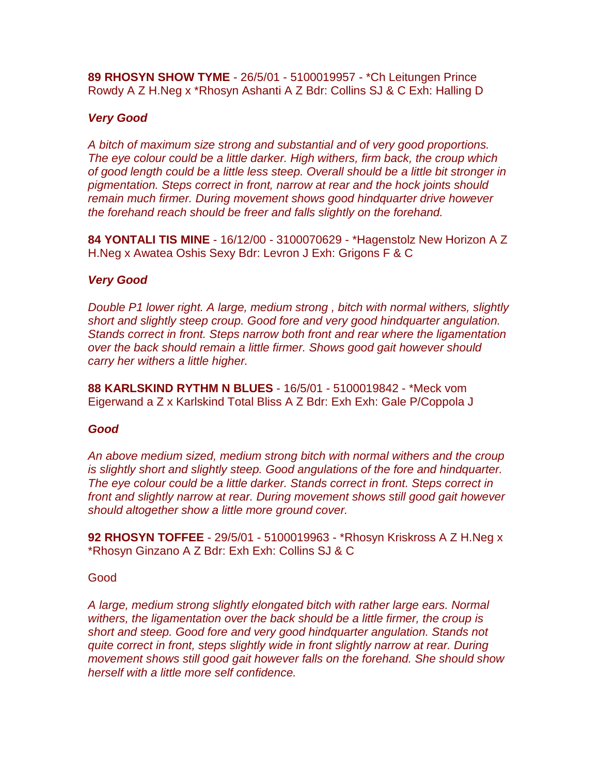**89 RHOSYN SHOW TYME** - 26/5/01 - 5100019957 - \*Ch Leitungen Prince Rowdy A Z H.Neg x \*Rhosyn Ashanti A Z Bdr: Collins SJ & C Exh: Halling D

#### *Very Good*

*A bitch of maximum size strong and substantial and of very good proportions. The eye colour could be a little darker. High withers, firm back, the croup which of good length could be a little less steep. Overall should be a little bit stronger in pigmentation. Steps correct in front, narrow at rear and the hock joints should remain much firmer. During movement shows good hindquarter drive however the forehand reach should be freer and falls slightly on the forehand.*

**84 YONTALI TIS MINE** - 16/12/00 - 3100070629 - \*Hagenstolz New Horizon A Z H.Neg x Awatea Oshis Sexy Bdr: Levron J Exh: Grigons F & C

#### *Very Good*

*Double P1 lower right. A large, medium strong , bitch with normal withers, slightly short and slightly steep croup. Good fore and very good hindquarter angulation. Stands correct in front. Steps narrow both front and rear where the ligamentation over the back should remain a little firmer. Shows good gait however should carry her withers a little higher.*

**88 KARLSKIND RYTHM N BLUES** - 16/5/01 - 5100019842 - \*Meck vom Eigerwand a Z x Karlskind Total Bliss A Z Bdr: Exh Exh: Gale P/Coppola J

#### *Good*

*An above medium sized, medium strong bitch with normal withers and the croup is slightly short and slightly steep. Good angulations of the fore and hindquarter. The eye colour could be a little darker. Stands correct in front. Steps correct in front and slightly narrow at rear. During movement shows still good gait however should altogether show a little more ground cover.*

**92 RHOSYN TOFFEE** - 29/5/01 - 5100019963 - \*Rhosyn Kriskross A Z H.Neg x \*Rhosyn Ginzano A Z Bdr: Exh Exh: Collins SJ & C

#### Good

*A large, medium strong slightly elongated bitch with rather large ears. Normal withers, the ligamentation over the back should be a little firmer, the croup is short and steep. Good fore and very good hindquarter angulation. Stands not quite correct in front, steps slightly wide in front slightly narrow at rear. During movement shows still good gait however falls on the forehand. She should show herself with a little more self confidence.*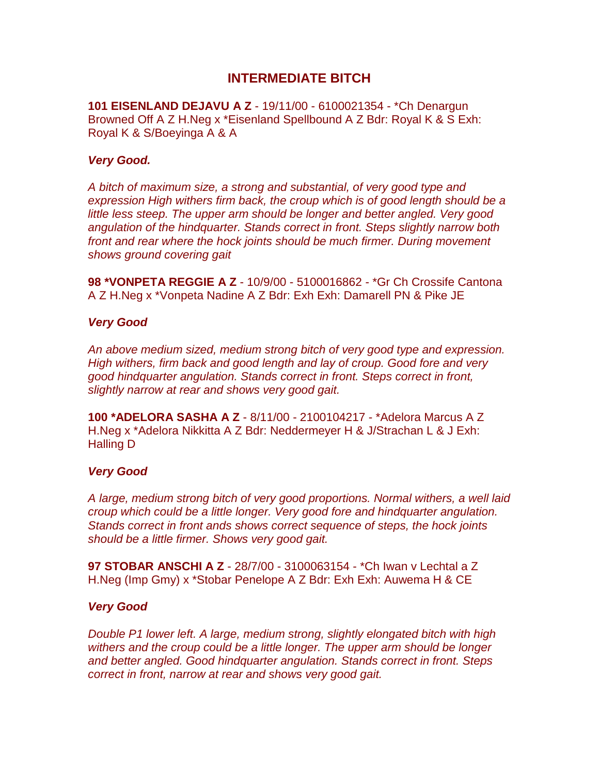## **INTERMEDIATE BITCH**

**101 EISENLAND DEJAVU A Z** - 19/11/00 - 6100021354 - \*Ch Denargun Browned Off A Z H.Neg x \*Eisenland Spellbound A Z Bdr: Royal K & S Exh: Royal K & S/Boeyinga A & A

#### *Very Good.*

*A bitch of maximum size, a strong and substantial, of very good type and expression High withers firm back, the croup which is of good length should be a little less steep. The upper arm should be longer and better angled. Very good angulation of the hindquarter. Stands correct in front. Steps slightly narrow both front and rear where the hock joints should be much firmer. During movement shows ground covering gait*

**98 \*VONPETA REGGIE A Z** - 10/9/00 - 5100016862 - \*Gr Ch Crossife Cantona A Z H.Neg x \*Vonpeta Nadine A Z Bdr: Exh Exh: Damarell PN & Pike JE

#### *Very Good*

*An above medium sized, medium strong bitch of very good type and expression. High withers, firm back and good length and lay of croup. Good fore and very good hindquarter angulation. Stands correct in front. Steps correct in front, slightly narrow at rear and shows very good gait.*

**100 \*ADELORA SASHA A Z** - 8/11/00 - 2100104217 - \*Adelora Marcus A Z H.Neg x \*Adelora Nikkitta A Z Bdr: Neddermeyer H & J/Strachan L & J Exh: Halling D

#### *Very Good*

*A large, medium strong bitch of very good proportions. Normal withers, a well laid croup which could be a little longer. Very good fore and hindquarter angulation. Stands correct in front ands shows correct sequence of steps, the hock joints should be a little firmer. Shows very good gait.*

**97 STOBAR ANSCHI A Z** - 28/7/00 - 3100063154 - \*Ch Iwan v Lechtal a Z H.Neg (Imp Gmy) x \*Stobar Penelope A Z Bdr: Exh Exh: Auwema H & CE

#### *Very Good*

*Double P1 lower left. A large, medium strong, slightly elongated bitch with high withers and the croup could be a little longer. The upper arm should be longer and better angled. Good hindquarter angulation. Stands correct in front. Steps correct in front, narrow at rear and shows very good gait.*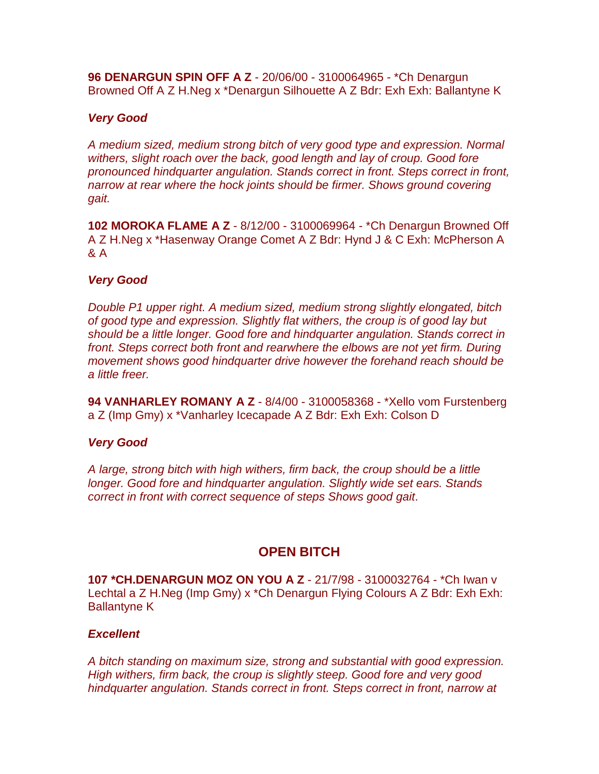**96 DENARGUN SPIN OFF A Z** - 20/06/00 - 3100064965 - \*Ch Denargun Browned Off A Z H.Neg x \*Denargun Silhouette A Z Bdr: Exh Exh: Ballantyne K

## *Very Good*

*A medium sized, medium strong bitch of very good type and expression. Normal withers, slight roach over the back, good length and lay of croup. Good fore pronounced hindquarter angulation. Stands correct in front. Steps correct in front, narrow at rear where the hock joints should be firmer. Shows ground covering gait.*

**102 MOROKA FLAME A Z** - 8/12/00 - 3100069964 - \*Ch Denargun Browned Off A Z H.Neg x \*Hasenway Orange Comet A Z Bdr: Hynd J & C Exh: McPherson A & A

## *Very Good*

*Double P1 upper right. A medium sized, medium strong slightly elongated, bitch of good type and expression. Slightly flat withers, the croup is of good lay but should be a little longer. Good fore and hindquarter angulation. Stands correct in front. Steps correct both front and rearwhere the elbows are not yet firm. During movement shows good hindquarter drive however the forehand reach should be a little freer.*

**94 VANHARLEY ROMANY A Z** - 8/4/00 - 3100058368 - \*Xello vom Furstenberg a Z (Imp Gmy) x \*Vanharley Icecapade A Z Bdr: Exh Exh: Colson D

## *Very Good*

*A large, strong bitch with high withers, firm back, the croup should be a little longer. Good fore and hindquarter angulation. Slightly wide set ears. Stands correct in front with correct sequence of steps Shows good gait*.

# **OPEN BITCH**

**107 \*CH.DENARGUN MOZ ON YOU A Z** - 21/7/98 - 3100032764 - \*Ch Iwan v Lechtal a Z H.Neg (Imp Gmy) x \*Ch Denargun Flying Colours A Z Bdr: Exh Exh: Ballantyne K

## *Excellent*

*A bitch standing on maximum size, strong and substantial with good expression. High withers, firm back, the croup is slightly steep. Good fore and very good hindquarter angulation. Stands correct in front. Steps correct in front, narrow at*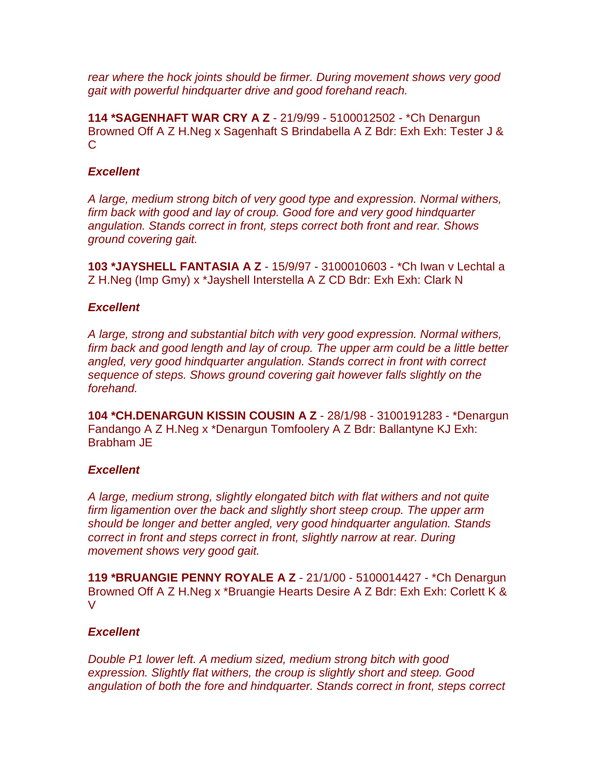*rear where the hock joints should be firmer. During movement shows very good gait with powerful hindquarter drive and good forehand reach.*

**114 \*SAGENHAFT WAR CRY A Z** - 21/9/99 - 5100012502 - \*Ch Denargun Browned Off A Z H.Neg x Sagenhaft S Brindabella A Z Bdr: Exh Exh: Tester J &  $\mathcal{C}$ 

## *Excellent*

*A large, medium strong bitch of very good type and expression. Normal withers, firm back with good and lay of croup. Good fore and very good hindquarter angulation. Stands correct in front, steps correct both front and rear. Shows ground covering gait.*

**103 \*JAYSHELL FANTASIA A Z** - 15/9/97 - 3100010603 - \*Ch Iwan v Lechtal a Z H.Neg (Imp Gmy) x \*Jayshell Interstella A Z CD Bdr: Exh Exh: Clark N

## *Excellent*

*A large, strong and substantial bitch with very good expression. Normal withers, firm back and good length and lay of croup. The upper arm could be a little better angled, very good hindquarter angulation. Stands correct in front with correct sequence of steps. Shows ground covering gait however falls slightly on the forehand.*

**104 \*CH.DENARGUN KISSIN COUSIN A Z** - 28/1/98 - 3100191283 - \*Denargun Fandango A Z H.Neg x \*Denargun Tomfoolery A Z Bdr: Ballantyne KJ Exh: Brabham JE

## *Excellent*

*A large, medium strong, slightly elongated bitch with flat withers and not quite firm ligamention over the back and slightly short steep croup. The upper arm should be longer and better angled, very good hindquarter angulation. Stands correct in front and steps correct in front, slightly narrow at rear. During movement shows very good gait.*

**119 \*BRUANGIE PENNY ROYALE A Z** - 21/1/00 - 5100014427 - \*Ch Denargun Browned Off A Z H.Neg x \*Bruangie Hearts Desire A Z Bdr: Exh Exh: Corlett K & V

## *Excellent*

*Double P1 lower left. A medium sized, medium strong bitch with good expression. Slightly flat withers, the croup is slightly short and steep. Good angulation of both the fore and hindquarter. Stands correct in front, steps correct*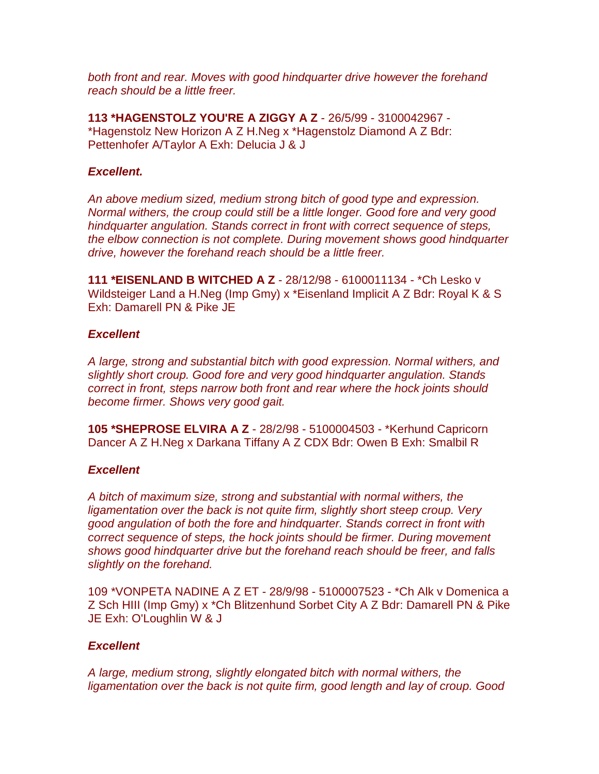*both front and rear. Moves with good hindquarter drive however the forehand reach should be a little freer.*

**113 \*HAGENSTOLZ YOU'RE A ZIGGY A Z** - 26/5/99 - 3100042967 - \*Hagenstolz New Horizon A Z H.Neg x \*Hagenstolz Diamond A Z Bdr: Pettenhofer A/Taylor A Exh: Delucia J & J

#### *Excellent.*

*An above medium sized, medium strong bitch of good type and expression. Normal withers, the croup could still be a little longer. Good fore and very good hindquarter angulation. Stands correct in front with correct sequence of steps, the elbow connection is not complete. During movement shows good hindquarter drive, however the forehand reach should be a little freer.*

**111 \*EISENLAND B WITCHED A Z** - 28/12/98 - 6100011134 - \*Ch Lesko v Wildsteiger Land a H.Neg (Imp Gmy) x \*Eisenland Implicit A Z Bdr: Royal K & S Exh: Damarell PN & Pike JE

#### *Excellent*

*A large, strong and substantial bitch with good expression. Normal withers, and slightly short croup. Good fore and very good hindquarter angulation. Stands correct in front, steps narrow both front and rear where the hock joints should become firmer. Shows very good gait.*

**105 \*SHEPROSE ELVIRA A Z** - 28/2/98 - 5100004503 - \*Kerhund Capricorn Dancer A Z H.Neg x Darkana Tiffany A Z CDX Bdr: Owen B Exh: Smalbil R

## *Excellent*

*A bitch of maximum size, strong and substantial with normal withers, the ligamentation over the back is not quite firm, slightly short steep croup. Very good angulation of both the fore and hindquarter. Stands correct in front with correct sequence of steps, the hock joints should be firmer. During movement shows good hindquarter drive but the forehand reach should be freer, and falls slightly on the forehand.*

109 \*VONPETA NADINE A Z ET - 28/9/98 - 5100007523 - \*Ch Alk v Domenica a Z Sch HIII (Imp Gmy) x \*Ch Blitzenhund Sorbet City A Z Bdr: Damarell PN & Pike JE Exh: O'Loughlin W & J

## *Excellent*

*A large, medium strong, slightly elongated bitch with normal withers, the ligamentation over the back is not quite firm, good length and lay of croup. Good*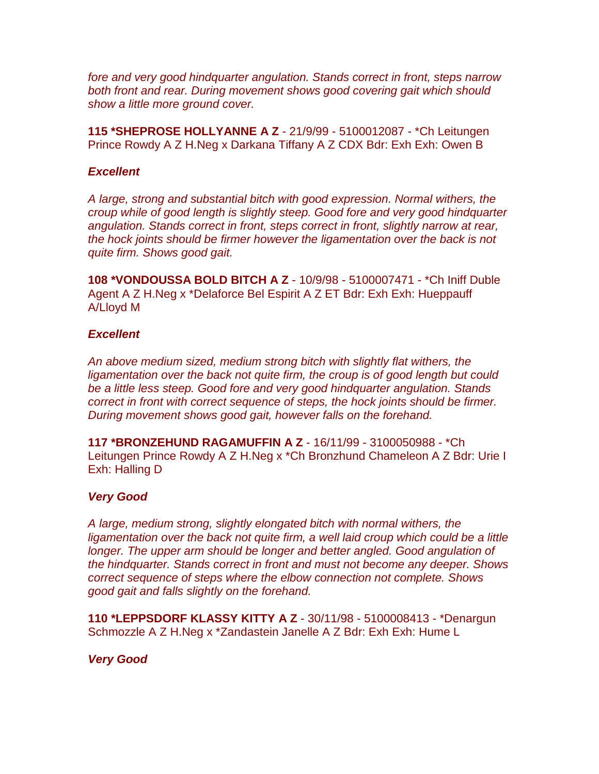*fore and very good hindquarter angulation. Stands correct in front, steps narrow both front and rear. During movement shows good covering gait which should show a little more ground cover.*

**115 \*SHEPROSE HOLLYANNE A Z** - 21/9/99 - 5100012087 - \*Ch Leitungen Prince Rowdy A Z H.Neg x Darkana Tiffany A Z CDX Bdr: Exh Exh: Owen B

#### *Excellent*

*A large, strong and substantial bitch with good expression. Normal withers, the croup while of good length is slightly steep. Good fore and very good hindquarter angulation. Stands correct in front, steps correct in front, slightly narrow at rear, the hock joints should be firmer however the ligamentation over the back is not quite firm. Shows good gait.*

**108 \*VONDOUSSA BOLD BITCH A Z** - 10/9/98 - 5100007471 - \*Ch Iniff Duble Agent A Z H.Neg x \*Delaforce Bel Espirit A Z ET Bdr: Exh Exh: Hueppauff A/Lloyd M

#### *Excellent*

*An above medium sized, medium strong bitch with slightly flat withers, the ligamentation over the back not quite firm, the croup is of good length but could be a little less steep. Good fore and very good hindquarter angulation. Stands correct in front with correct sequence of steps, the hock joints should be firmer. During movement shows good gait, however falls on the forehand.*

**117 \*BRONZEHUND RAGAMUFFIN A Z** - 16/11/99 - 3100050988 - \*Ch Leitungen Prince Rowdy A Z H.Neg x \*Ch Bronzhund Chameleon A Z Bdr: Urie I Exh: Halling D

## *Very Good*

*A large, medium strong, slightly elongated bitch with normal withers, the*  ligamentation over the back not quite firm, a well laid croup which could be a little longer. The upper arm should be longer and better angled. Good angulation of *the hindquarter. Stands correct in front and must not become any deeper. Shows correct sequence of steps where the elbow connection not complete. Shows good gait and falls slightly on the forehand.*

**110 \*LEPPSDORF KLASSY KITTY A Z** - 30/11/98 - 5100008413 - \*Denargun Schmozzle A Z H.Neg x \*Zandastein Janelle A Z Bdr: Exh Exh: Hume L

## *Very Good*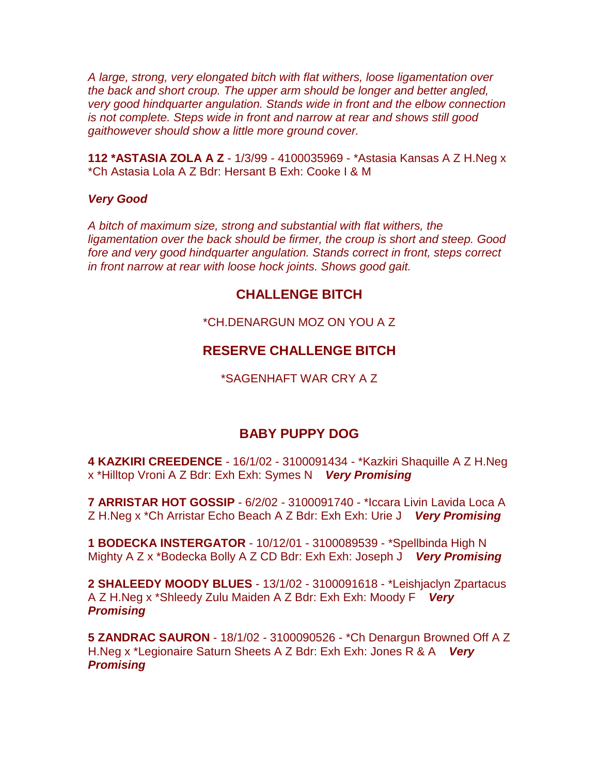*A large, strong, very elongated bitch with flat withers, loose ligamentation over the back and short croup. The upper arm should be longer and better angled, very good hindquarter angulation. Stands wide in front and the elbow connection is not complete. Steps wide in front and narrow at rear and shows still good gaithowever should show a little more ground cover.*

**112 \*ASTASIA ZOLA A Z** - 1/3/99 - 4100035969 - \*Astasia Kansas A Z H.Neg x \*Ch Astasia Lola A Z Bdr: Hersant B Exh: Cooke I & M

#### *Very Good*

*A bitch of maximum size, strong and substantial with flat withers, the ligamentation over the back should be firmer, the croup is short and steep. Good fore and very good hindquarter angulation. Stands correct in front, steps correct in front narrow at rear with loose hock joints. Shows good gait.*

## **CHALLENGE BITCH**

\*CH.DENARGUN MOZ ON YOU A Z

## **RESERVE CHALLENGE BITCH**

\*SAGENHAFT WAR CRY A Z

## **BABY PUPPY DOG**

**4 KAZKIRI CREEDENCE** - 16/1/02 - 3100091434 - \*Kazkiri Shaquille A Z H.Neg x \*Hilltop Vroni A Z Bdr: Exh Exh: Symes N *Very Promising*

**7 ARRISTAR HOT GOSSIP** - 6/2/02 - 3100091740 - \*Iccara Livin Lavida Loca A Z H.Neg x \*Ch Arristar Echo Beach A Z Bdr: Exh Exh: Urie J *Very Promising*

**1 BODECKA INSTERGATOR** - 10/12/01 - 3100089539 - \*Spellbinda High N Mighty A Z x \*Bodecka Bolly A Z CD Bdr: Exh Exh: Joseph J *Very Promising*

**2 SHALEEDY MOODY BLUES** - 13/1/02 - 3100091618 - \*Leishjaclyn Zpartacus A Z H.Neg x \*Shleedy Zulu Maiden A Z Bdr: Exh Exh: Moody F *Very Promising*

**5 ZANDRAC SAURON** - 18/1/02 - 3100090526 - \*Ch Denargun Browned Off A Z H.Neg x \*Legionaire Saturn Sheets A Z Bdr: Exh Exh: Jones R & A *Very Promising*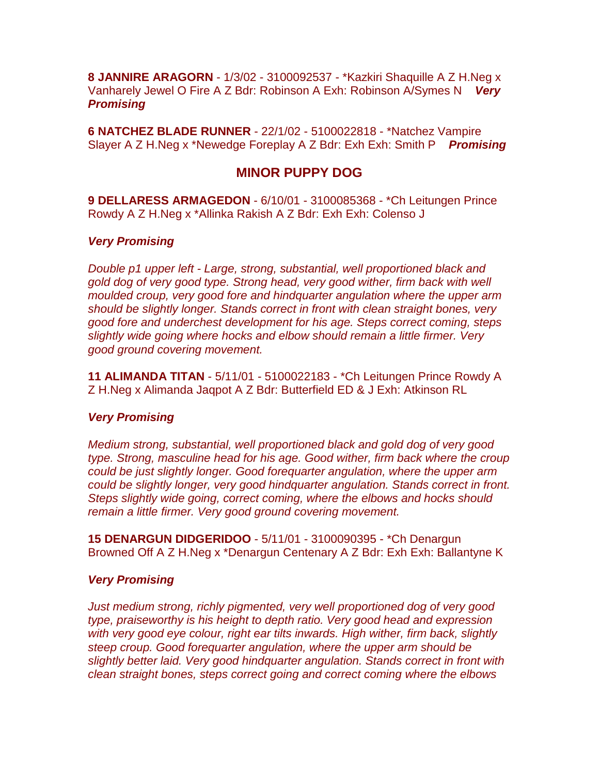**8 JANNIRE ARAGORN** - 1/3/02 - 3100092537 - \*Kazkiri Shaquille A Z H.Neg x Vanharely Jewel O Fire A Z Bdr: Robinson A Exh: Robinson A/Symes N *Very Promising*

**6 NATCHEZ BLADE RUNNER** - 22/1/02 - 5100022818 - \*Natchez Vampire Slayer A Z H.Neg x \*Newedge Foreplay A Z Bdr: Exh Exh: Smith P *Promising*

## **MINOR PUPPY DOG**

**9 DELLARESS ARMAGEDON** - 6/10/01 - 3100085368 - \*Ch Leitungen Prince Rowdy A Z H.Neg x \*Allinka Rakish A Z Bdr: Exh Exh: Colenso J

#### *Very Promising*

*Double p1 upper left - Large, strong, substantial, well proportioned black and gold dog of very good type. Strong head, very good wither, firm back with well moulded croup, very good fore and hindquarter angulation where the upper arm should be slightly longer. Stands correct in front with clean straight bones, very good fore and underchest development for his age. Steps correct coming, steps slightly wide going where hocks and elbow should remain a little firmer. Very good ground covering movement.*

**11 ALIMANDA TITAN** - 5/11/01 - 5100022183 - \*Ch Leitungen Prince Rowdy A Z H.Neg x Alimanda Jaqpot A Z Bdr: Butterfield ED & J Exh: Atkinson RL

#### *Very Promising*

*Medium strong, substantial, well proportioned black and gold dog of very good type. Strong, masculine head for his age. Good wither, firm back where the croup could be just slightly longer. Good forequarter angulation, where the upper arm could be slightly longer, very good hindquarter angulation. Stands correct in front. Steps slightly wide going, correct coming, where the elbows and hocks should remain a little firmer. Very good ground covering movement.*

**15 DENARGUN DIDGERIDOO** - 5/11/01 - 3100090395 - \*Ch Denargun Browned Off A Z H.Neg x \*Denargun Centenary A Z Bdr: Exh Exh: Ballantyne K

#### *Very Promising*

*Just medium strong, richly pigmented, very well proportioned dog of very good type, praiseworthy is his height to depth ratio. Very good head and expression with very good eye colour, right ear tilts inwards. High wither, firm back, slightly steep croup. Good forequarter angulation, where the upper arm should be slightly better laid. Very good hindquarter angulation. Stands correct in front with clean straight bones, steps correct going and correct coming where the elbows*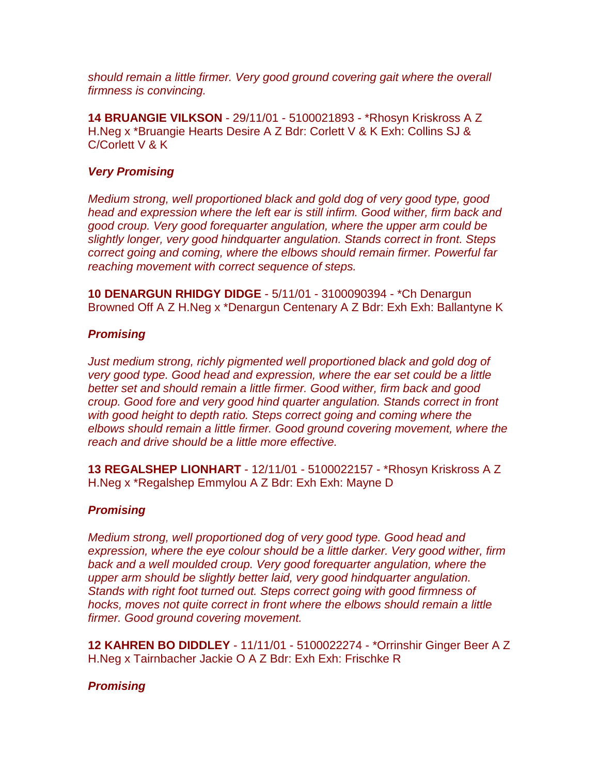*should remain a little firmer. Very good ground covering gait where the overall firmness is convincing.*

**14 BRUANGIE VILKSON** - 29/11/01 - 5100021893 - \*Rhosyn Kriskross A Z H.Neg x \*Bruangie Hearts Desire A Z Bdr: Corlett V & K Exh: Collins SJ & C/Corlett V & K

## *Very Promising*

*Medium strong, well proportioned black and gold dog of very good type, good head and expression where the left ear is still infirm. Good wither, firm back and good croup. Very good forequarter angulation, where the upper arm could be slightly longer, very good hindquarter angulation. Stands correct in front. Steps correct going and coming, where the elbows should remain firmer. Powerful far reaching movement with correct sequence of steps.*

**10 DENARGUN RHIDGY DIDGE** - 5/11/01 - 3100090394 - \*Ch Denargun Browned Off A Z H.Neg x \*Denargun Centenary A Z Bdr: Exh Exh: Ballantyne K

#### *Promising*

*Just medium strong, richly pigmented well proportioned black and gold dog of very good type. Good head and expression, where the ear set could be a little better set and should remain a little firmer. Good wither, firm back and good croup. Good fore and very good hind quarter angulation. Stands correct in front with good height to depth ratio. Steps correct going and coming where the elbows should remain a little firmer. Good ground covering movement, where the reach and drive should be a little more effective.*

**13 REGALSHEP LIONHART** - 12/11/01 - 5100022157 - \*Rhosyn Kriskross A Z H.Neg x \*Regalshep Emmylou A Z Bdr: Exh Exh: Mayne D

## *Promising*

*Medium strong, well proportioned dog of very good type. Good head and expression, where the eye colour should be a little darker. Very good wither, firm*  back and a well moulded croup. Very good forequarter angulation, where the *upper arm should be slightly better laid, very good hindquarter angulation. Stands with right foot turned out. Steps correct going with good firmness of hocks, moves not quite correct in front where the elbows should remain a little firmer. Good ground covering movement.*

**12 KAHREN BO DIDDLEY** - 11/11/01 - 5100022274 - \*Orrinshir Ginger Beer A Z H.Neg x Tairnbacher Jackie O A Z Bdr: Exh Exh: Frischke R

## *Promising*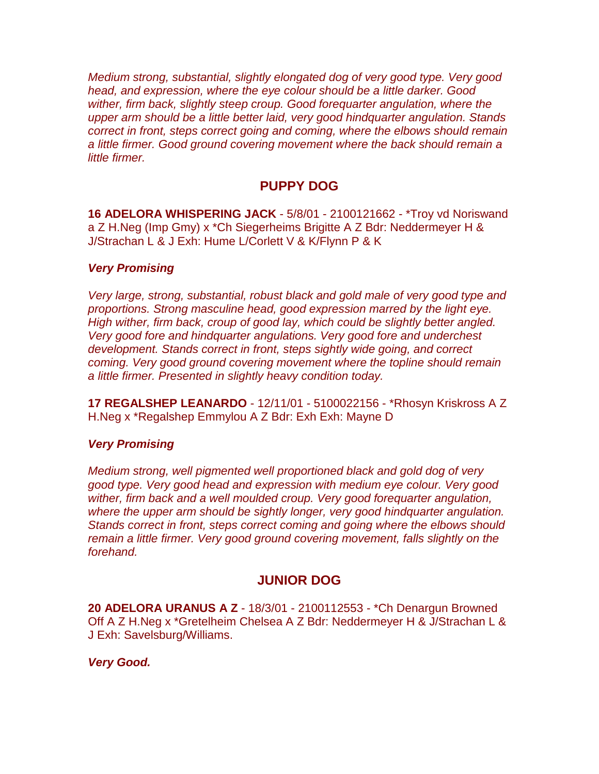*Medium strong, substantial, slightly elongated dog of very good type. Very good head, and expression, where the eye colour should be a little darker. Good wither, firm back, slightly steep croup. Good forequarter angulation, where the upper arm should be a little better laid, very good hindquarter angulation. Stands correct in front, steps correct going and coming, where the elbows should remain a little firmer. Good ground covering movement where the back should remain a little firmer.*

# **PUPPY DOG**

**16 ADELORA WHISPERING JACK** - 5/8/01 - 2100121662 - \*Troy vd Noriswand a Z H.Neg (Imp Gmy) x \*Ch Siegerheims Brigitte A Z Bdr: Neddermeyer H & J/Strachan L & J Exh: Hume L/Corlett V & K/Flynn P & K

## *Very Promising*

*Very large, strong, substantial, robust black and gold male of very good type and proportions. Strong masculine head, good expression marred by the light eye. High wither, firm back, croup of good lay, which could be slightly better angled. Very good fore and hindquarter angulations. Very good fore and underchest development. Stands correct in front, steps sightly wide going, and correct coming. Very good ground covering movement where the topline should remain a little firmer. Presented in slightly heavy condition today.*

**17 REGALSHEP LEANARDO** - 12/11/01 - 5100022156 - \*Rhosyn Kriskross A Z H.Neg x \*Regalshep Emmylou A Z Bdr: Exh Exh: Mayne D

## *Very Promising*

*Medium strong, well pigmented well proportioned black and gold dog of very good type. Very good head and expression with medium eye colour. Very good wither, firm back and a well moulded croup. Very good forequarter angulation, where the upper arm should be sightly longer, very good hindquarter angulation. Stands correct in front, steps correct coming and going where the elbows should remain a little firmer. Very good ground covering movement, falls slightly on the forehand.*

# **JUNIOR DOG**

**20 ADELORA URANUS A Z** - 18/3/01 - 2100112553 - \*Ch Denargun Browned Off A Z H.Neg x \*Gretelheim Chelsea A Z Bdr: Neddermeyer H & J/Strachan L & J Exh: Savelsburg/Williams.

## *Very Good.*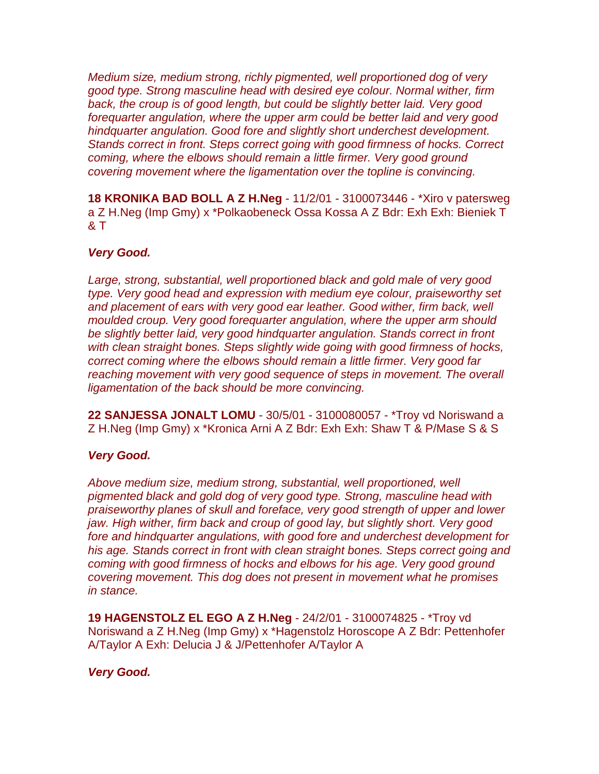*Medium size, medium strong, richly pigmented, well proportioned dog of very good type. Strong masculine head with desired eye colour. Normal wither, firm back, the croup is of good length, but could be slightly better laid. Very good forequarter angulation, where the upper arm could be better laid and very good hindquarter angulation. Good fore and slightly short underchest development. Stands correct in front. Steps correct going with good firmness of hocks. Correct coming, where the elbows should remain a little firmer. Very good ground covering movement where the ligamentation over the topline is convincing.*

**18 KRONIKA BAD BOLL A Z H.Neg** - 11/2/01 - 3100073446 - \*Xiro v patersweg a Z H.Neg (Imp Gmy) x \*Polkaobeneck Ossa Kossa A Z Bdr: Exh Exh: Bieniek T & T

## *Very Good.*

*Large, strong, substantial, well proportioned black and gold male of very good type. Very good head and expression with medium eye colour, praiseworthy set*  and placement of ears with very good ear leather. Good wither, firm back, well *moulded croup. Very good forequarter angulation, where the upper arm should be slightly better laid, very good hindquarter angulation. Stands correct in front with clean straight bones. Steps slightly wide going with good firmness of hocks, correct coming where the elbows should remain a little firmer. Very good far reaching movement with very good sequence of steps in movement. The overall ligamentation of the back should be more convincing.*

**22 SANJESSA JONALT LOMU** - 30/5/01 - 3100080057 - \*Troy vd Noriswand a Z H.Neg (Imp Gmy) x \*Kronica Arni A Z Bdr: Exh Exh: Shaw T & P/Mase S & S

## *Very Good.*

*Above medium size, medium strong, substantial, well proportioned, well pigmented black and gold dog of very good type. Strong, masculine head with praiseworthy planes of skull and foreface, very good strength of upper and lower jaw. High wither, firm back and croup of good lay, but slightly short. Very good fore and hindquarter angulations, with good fore and underchest development for his age. Stands correct in front with clean straight bones. Steps correct going and coming with good firmness of hocks and elbows for his age. Very good ground covering movement. This dog does not present in movement what he promises in stance.*

**19 HAGENSTOLZ EL EGO A Z H.Neg** - 24/2/01 - 3100074825 - \*Troy vd Noriswand a Z H.Neg (Imp Gmy) x \*Hagenstolz Horoscope A Z Bdr: Pettenhofer A/Taylor A Exh: Delucia J & J/Pettenhofer A/Taylor A

## *Very Good.*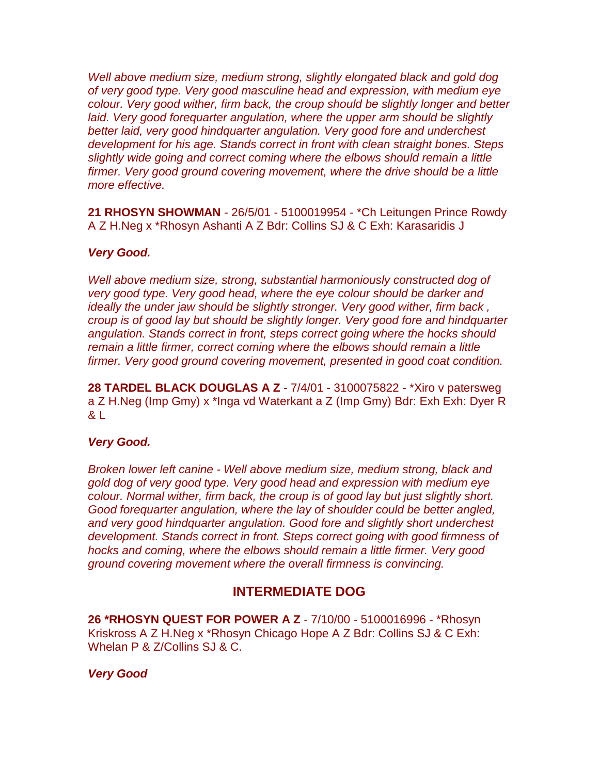Well above medium size, medium strong, slightly elongated black and gold dog *of very good type. Very good masculine head and expression, with medium eye colour. Very good wither, firm back, the croup should be slightly longer and better*  laid. Very good forequarter angulation, where the upper arm should be slightly *better laid, very good hindquarter angulation. Very good fore and underchest development for his age. Stands correct in front with clean straight bones. Steps slightly wide going and correct coming where the elbows should remain a little firmer. Very good ground covering movement, where the drive should be a little more effective.*

**21 RHOSYN SHOWMAN** - 26/5/01 - 5100019954 - \*Ch Leitungen Prince Rowdy A Z H.Neg x \*Rhosyn Ashanti A Z Bdr: Collins SJ & C Exh: Karasaridis J

#### *Very Good.*

*Well above medium size, strong, substantial harmoniously constructed dog of very good type. Very good head, where the eye colour should be darker and ideally the under jaw should be slightly stronger. Very good wither, firm back, croup is of good lay but should be slightly longer. Very good fore and hindquarter angulation. Stands correct in front, steps correct going where the hocks should remain a little firmer, correct coming where the elbows should remain a little firmer. Very good ground covering movement, presented in good coat condition.*

**28 TARDEL BLACK DOUGLAS A Z** - 7/4/01 - 3100075822 - \*Xiro v patersweg a Z H.Neg (Imp Gmy) x \*Inga vd Waterkant a Z (Imp Gmy) Bdr: Exh Exh: Dyer R & L

#### *Very Good.*

*Broken lower left canine - Well above medium size, medium strong, black and gold dog of very good type. Very good head and expression with medium eye colour. Normal wither, firm back, the croup is of good lay but just slightly short. Good forequarter angulation, where the lay of shoulder could be better angled, and very good hindquarter angulation. Good fore and slightly short underchest development. Stands correct in front. Steps correct going with good firmness of hocks and coming, where the elbows should remain a little firmer. Very good ground covering movement where the overall firmness is convincing.*

## **INTERMEDIATE DOG**

**26 \*RHOSYN QUEST FOR POWER A Z** - 7/10/00 - 5100016996 - \*Rhosyn Kriskross A Z H.Neg x \*Rhosyn Chicago Hope A Z Bdr: Collins SJ & C Exh: Whelan P & Z/Collins SJ & C.

#### *Very Good*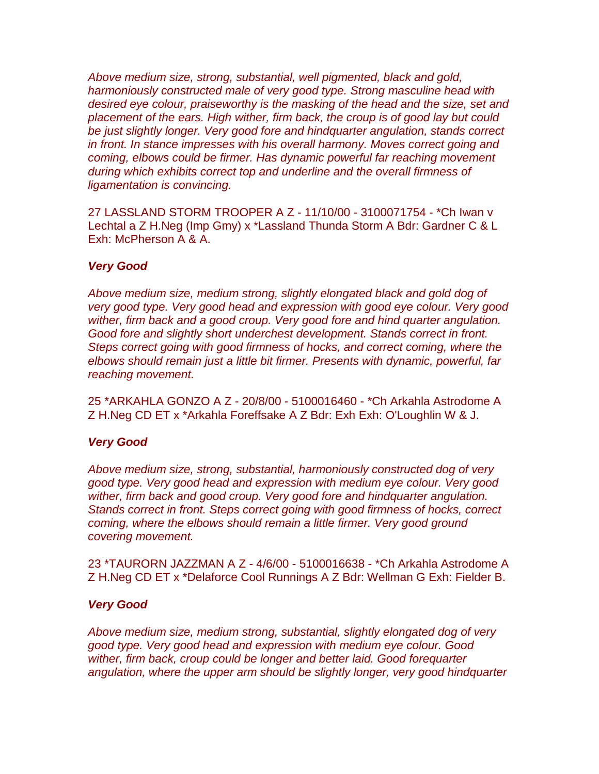*Above medium size, strong, substantial, well pigmented, black and gold, harmoniously constructed male of very good type. Strong masculine head with desired eye colour, praiseworthy is the masking of the head and the size, set and placement of the ears. High wither, firm back, the croup is of good lay but could be just slightly longer. Very good fore and hindquarter angulation, stands correct in front. In stance impresses with his overall harmony. Moves correct going and coming, elbows could be firmer. Has dynamic powerful far reaching movement during which exhibits correct top and underline and the overall firmness of ligamentation is convincing.*

27 LASSLAND STORM TROOPER A Z - 11/10/00 - 3100071754 - \*Ch Iwan v Lechtal a Z H.Neg (Imp Gmy) x \*Lassland Thunda Storm A Bdr: Gardner C & L Exh: McPherson A & A.

## *Very Good*

*Above medium size, medium strong, slightly elongated black and gold dog of very good type. Very good head and expression with good eye colour. Very good wither, firm back and a good croup. Very good fore and hind quarter angulation. Good fore and slightly short underchest development. Stands correct in front. Steps correct going with good firmness of hocks, and correct coming, where the elbows should remain just a little bit firmer. Presents with dynamic, powerful, far reaching movement.*

25 \*ARKAHLA GONZO A Z - 20/8/00 - 5100016460 - \*Ch Arkahla Astrodome A Z H.Neg CD ET x \*Arkahla Foreffsake A Z Bdr: Exh Exh: O'Loughlin W & J.

#### *Very Good*

*Above medium size, strong, substantial, harmoniously constructed dog of very good type. Very good head and expression with medium eye colour. Very good wither, firm back and good croup. Very good fore and hindquarter angulation. Stands correct in front. Steps correct going with good firmness of hocks, correct coming, where the elbows should remain a little firmer. Very good ground covering movement.*

23 \*TAURORN JAZZMAN A Z - 4/6/00 - 5100016638 - \*Ch Arkahla Astrodome A Z H.Neg CD ET x \*Delaforce Cool Runnings A Z Bdr: Wellman G Exh: Fielder B.

#### *Very Good*

*Above medium size, medium strong, substantial, slightly elongated dog of very good type. Very good head and expression with medium eye colour. Good wither, firm back, croup could be longer and better laid. Good forequarter angulation, where the upper arm should be slightly longer, very good hindquarter*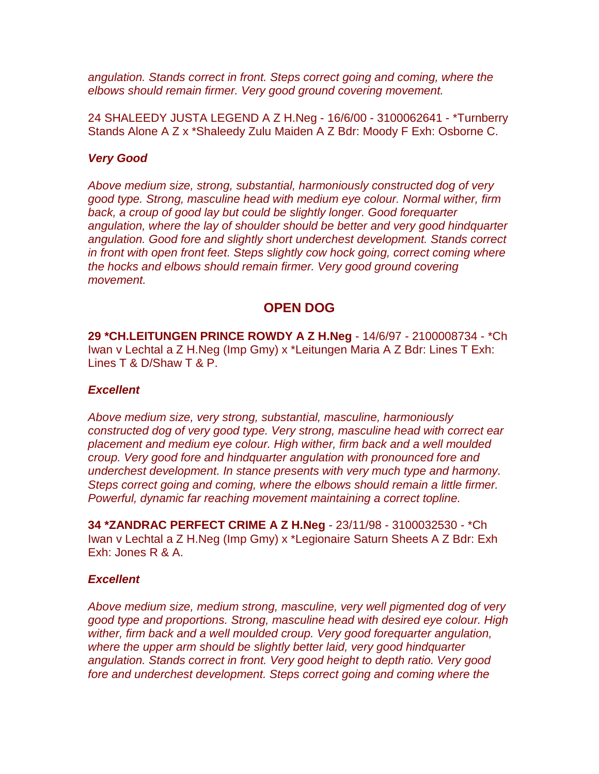*angulation. Stands correct in front. Steps correct going and coming, where the elbows should remain firmer. Very good ground covering movement.*

24 SHALEEDY JUSTA LEGEND A Z H.Neg - 16/6/00 - 3100062641 - \*Turnberry Stands Alone A Z x \*Shaleedy Zulu Maiden A Z Bdr: Moody F Exh: Osborne C.

#### *Very Good*

*Above medium size, strong, substantial, harmoniously constructed dog of very good type. Strong, masculine head with medium eye colour. Normal wither, firm back, a croup of good lay but could be slightly longer. Good forequarter angulation, where the lay of shoulder should be better and very good hindquarter angulation. Good fore and slightly short underchest development. Stands correct in front with open front feet. Steps slightly cow hock going, correct coming where the hocks and elbows should remain firmer. Very good ground covering movement.*

## **OPEN DOG**

**29 \*CH.LEITUNGEN PRINCE ROWDY A Z H.Neg** - 14/6/97 - 2100008734 - \*Ch Iwan v Lechtal a Z H.Neg (Imp Gmy) x \*Leitungen Maria A Z Bdr: Lines T Exh: Lines T & D/Shaw T & P.

#### *Excellent*

*Above medium size, very strong, substantial, masculine, harmoniously constructed dog of very good type. Very strong, masculine head with correct ear placement and medium eye colour. High wither, firm back and a well moulded croup. Very good fore and hindquarter angulation with pronounced fore and underchest development. In stance presents with very much type and harmony. Steps correct going and coming, where the elbows should remain a little firmer. Powerful, dynamic far reaching movement maintaining a correct topline.*

**34 \*ZANDRAC PERFECT CRIME A Z H.Neg** - 23/11/98 - 3100032530 - \*Ch Iwan v Lechtal a Z H.Neg (Imp Gmy) x \*Legionaire Saturn Sheets A Z Bdr: Exh Exh: Jones R & A.

## *Excellent*

*Above medium size, medium strong, masculine, very well pigmented dog of very good type and proportions. Strong, masculine head with desired eye colour. High wither, firm back and a well moulded croup. Very good forequarter angulation, where the upper arm should be slightly better laid, very good hindquarter angulation. Stands correct in front. Very good height to depth ratio. Very good fore and underchest development. Steps correct going and coming where the*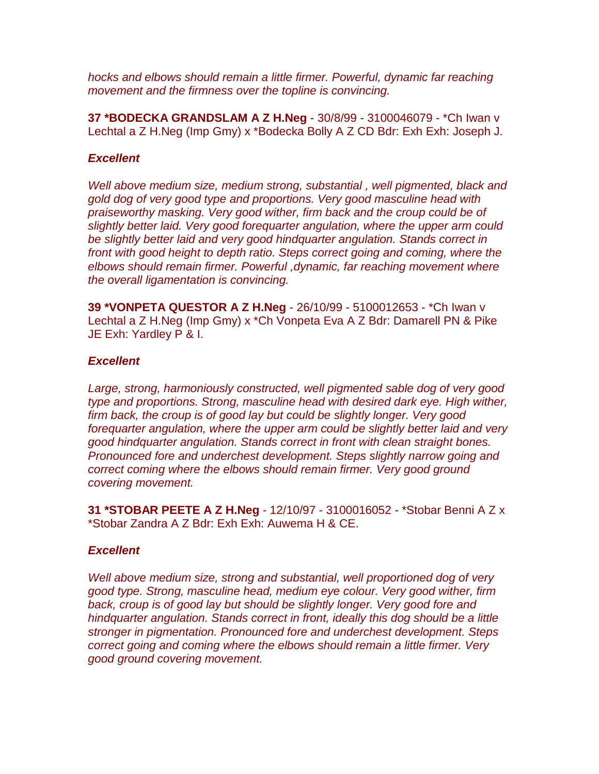*hocks and elbows should remain a little firmer. Powerful, dynamic far reaching movement and the firmness over the topline is convincing.*

**37 \*BODECKA GRANDSLAM A Z H.Neg** - 30/8/99 - 3100046079 - \*Ch Iwan v Lechtal a Z H.Neg (Imp Gmy) x \*Bodecka Bolly A Z CD Bdr: Exh Exh: Joseph J.

#### *Excellent*

*Well above medium size, medium strong, substantial , well pigmented, black and gold dog of very good type and proportions. Very good masculine head with praiseworthy masking. Very good wither, firm back and the croup could be of slightly better laid. Very good forequarter angulation, where the upper arm could be slightly better laid and very good hindquarter angulation. Stands correct in front with good height to depth ratio. Steps correct going and coming, where the elbows should remain firmer. Powerful ,dynamic, far reaching movement where the overall ligamentation is convincing.*

**39 \*VONPETA QUESTOR A Z H.Neg** - 26/10/99 - 5100012653 - \*Ch Iwan v Lechtal a Z H.Neg (Imp Gmy) x \*Ch Vonpeta Eva A Z Bdr: Damarell PN & Pike JE Exh: Yardley P & I.

#### *Excellent*

*Large, strong, harmoniously constructed, well pigmented sable dog of very good type and proportions. Strong, masculine head with desired dark eye. High wither, firm back, the croup is of good lay but could be slightly longer. Very good forequarter angulation, where the upper arm could be slightly better laid and very good hindquarter angulation. Stands correct in front with clean straight bones. Pronounced fore and underchest development. Steps slightly narrow going and correct coming where the elbows should remain firmer. Very good ground covering movement.*

**31 \*STOBAR PEETE A Z H.Neg** - 12/10/97 - 3100016052 - \*Stobar Benni A Z x \*Stobar Zandra A Z Bdr: Exh Exh: Auwema H & CE.

#### *Excellent*

*Well above medium size, strong and substantial, well proportioned dog of very good type. Strong, masculine head, medium eye colour. Very good wither, firm back, croup is of good lay but should be slightly longer. Very good fore and hindquarter angulation. Stands correct in front, ideally this dog should be a little stronger in pigmentation. Pronounced fore and underchest development. Steps correct going and coming where the elbows should remain a little firmer. Very good ground covering movement.*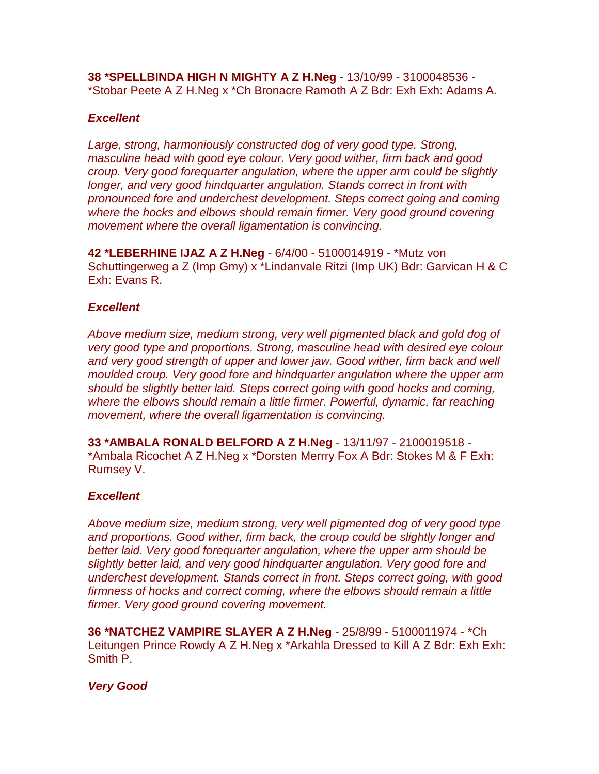**38 \*SPELLBINDA HIGH N MIGHTY A Z H.Neg** - 13/10/99 - 3100048536 - \*Stobar Peete A Z H.Neg x \*Ch Bronacre Ramoth A Z Bdr: Exh Exh: Adams A.

## *Excellent*

*Large, strong, harmoniously constructed dog of very good type. Strong, masculine head with good eye colour. Very good wither, firm back and good croup. Very good forequarter angulation, where the upper arm could be slightly longer, and very good hindquarter angulation. Stands correct in front with pronounced fore and underchest development. Steps correct going and coming where the hocks and elbows should remain firmer. Very good ground covering movement where the overall ligamentation is convincing.*

**42 \*LEBERHINE IJAZ A Z H.Neg** - 6/4/00 - 5100014919 - \*Mutz von Schuttingerweg a Z (Imp Gmy) x \*Lindanvale Ritzi (Imp UK) Bdr: Garvican H & C Exh: Evans R.

#### *Excellent*

*Above medium size, medium strong, very well pigmented black and gold dog of very good type and proportions. Strong, masculine head with desired eye colour*  and very good strength of upper and lower jaw. Good wither, firm back and well *moulded croup. Very good fore and hindquarter angulation where the upper arm should be slightly better laid. Steps correct going with good hocks and coming, where the elbows should remain a little firmer. Powerful, dynamic, far reaching movement, where the overall ligamentation is convincing.*

**33 \*AMBALA RONALD BELFORD A Z H.Neg** - 13/11/97 - 2100019518 - \*Ambala Ricochet A Z H.Neg x \*Dorsten Merrry Fox A Bdr: Stokes M & F Exh: Rumsey V.

## *Excellent*

*Above medium size, medium strong, very well pigmented dog of very good type and proportions. Good wither, firm back, the croup could be slightly longer and better laid. Very good forequarter angulation, where the upper arm should be slightly better laid, and very good hindquarter angulation. Very good fore and underchest development. Stands correct in front. Steps correct going, with good firmness of hocks and correct coming, where the elbows should remain a little firmer. Very good ground covering movement.*

**36 \*NATCHEZ VAMPIRE SLAYER A Z H.Neg** - 25/8/99 - 5100011974 - \*Ch Leitungen Prince Rowdy A Z H.Neg x \*Arkahla Dressed to Kill A Z Bdr: Exh Exh: Smith P.

## *Very Good*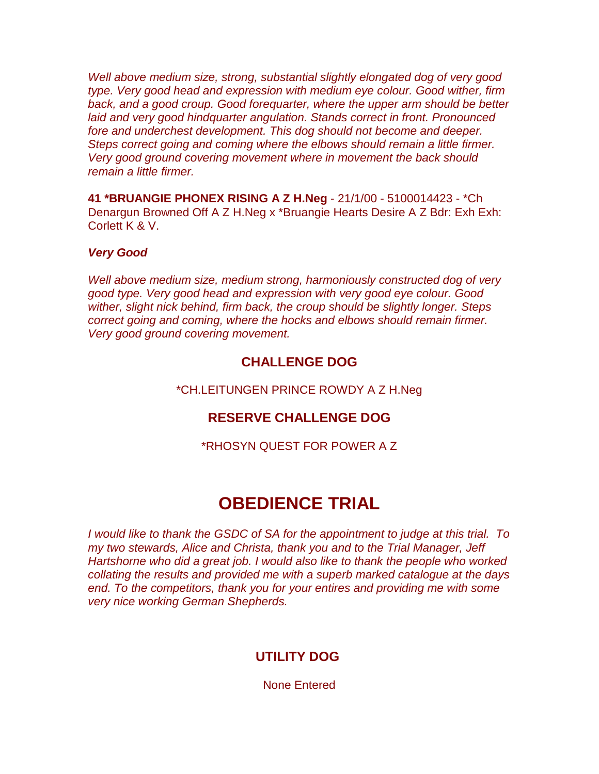*Well above medium size, strong, substantial slightly elongated dog of very good type. Very good head and expression with medium eye colour. Good wither, firm*  back, and a good croup. Good forequarter, where the upper arm should be better *laid and very good hindquarter angulation. Stands correct in front. Pronounced fore and underchest development. This dog should not become and deeper. Steps correct going and coming where the elbows should remain a little firmer. Very good ground covering movement where in movement the back should remain a little firmer.*

**41 \*BRUANGIE PHONEX RISING A Z H.Neg** - 21/1/00 - 5100014423 - \*Ch Denargun Browned Off A Z H.Neg x \*Bruangie Hearts Desire A Z Bdr: Exh Exh: Corlett K & V.

## *Very Good*

*Well above medium size, medium strong, harmoniously constructed dog of very good type. Very good head and expression with very good eye colour. Good wither, slight nick behind, firm back, the croup should be slightly longer. Steps correct going and coming, where the hocks and elbows should remain firmer. Very good ground covering movement.*

# **CHALLENGE DOG**

\*CH.LEITUNGEN PRINCE ROWDY A Z H.Neg

# **RESERVE CHALLENGE DOG**

\*RHOSYN QUEST FOR POWER A Z

# **OBEDIENCE TRIAL**

*I would like to thank the GSDC of SA for the appointment to judge at this trial. To my two stewards, Alice and Christa, thank you and to the Trial Manager, Jeff Hartshorne who did a great job. I would also like to thank the people who worked collating the results and provided me with a superb marked catalogue at the days end. To the competitors, thank you for your entires and providing me with some very nice working German Shepherds.*

# **UTILITY DOG**

None Entered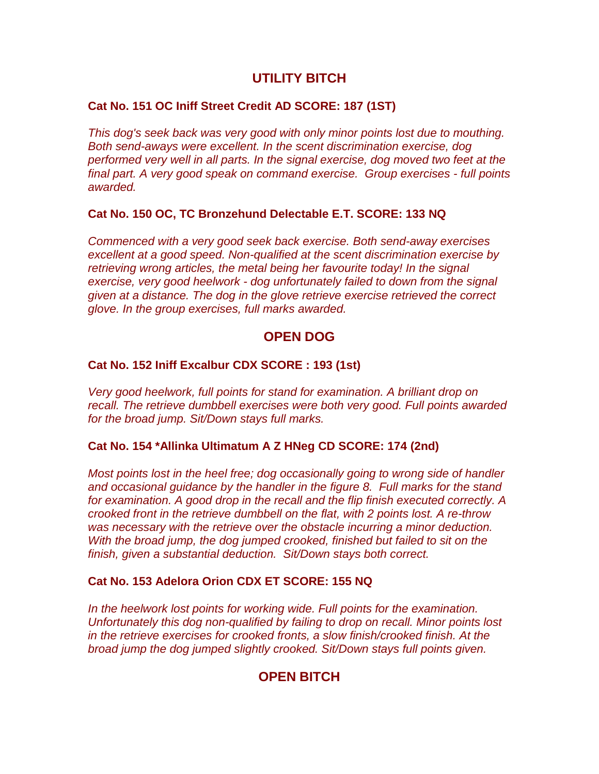# **UTILITY BITCH**

## **Cat No. 151 OC Iniff Street Credit AD SCORE: 187 (1ST)**

*This dog's seek back was very good with only minor points lost due to mouthing. Both send-aways were excellent. In the scent discrimination exercise, dog performed very well in all parts. In the signal exercise, dog moved two feet at the final part. A very good speak on command exercise. Group exercises - full points awarded.*

## **Cat No. 150 OC, TC Bronzehund Delectable E.T. SCORE: 133 NQ**

*Commenced with a very good seek back exercise. Both send-away exercises excellent at a good speed. Non-qualified at the scent discrimination exercise by retrieving wrong articles, the metal being her favourite today! In the signal exercise, very good heelwork - dog unfortunately failed to down from the signal given at a distance. The dog in the glove retrieve exercise retrieved the correct glove. In the group exercises, full marks awarded.*

## **OPEN DOG**

## **Cat No. 152 Iniff Excalbur CDX SCORE : 193 (1st)**

*Very good heelwork, full points for stand for examination. A brilliant drop on recall. The retrieve dumbbell exercises were both very good. Full points awarded for the broad jump. Sit/Down stays full marks.*

#### **Cat No. 154 \*Allinka Ultimatum A Z HNeg CD SCORE: 174 (2nd)**

*Most points lost in the heel free; dog occasionally going to wrong side of handler and occasional guidance by the handler in the figure 8. Full marks for the stand for examination. A good drop in the recall and the flip finish executed correctly. A crooked front in the retrieve dumbbell on the flat, with 2 points lost. A re-throw was necessary with the retrieve over the obstacle incurring a minor deduction. With the broad jump, the dog jumped crooked, finished but failed to sit on the finish, given a substantial deduction. Sit/Down stays both correct.*

#### **Cat No. 153 Adelora Orion CDX ET SCORE: 155 NQ**

*In the heelwork lost points for working wide. Full points for the examination. Unfortunately this dog non-qualified by failing to drop on recall. Minor points lost in the retrieve exercises for crooked fronts, a slow finish/crooked finish. At the broad jump the dog jumped slightly crooked. Sit/Down stays full points given.*

# **OPEN BITCH**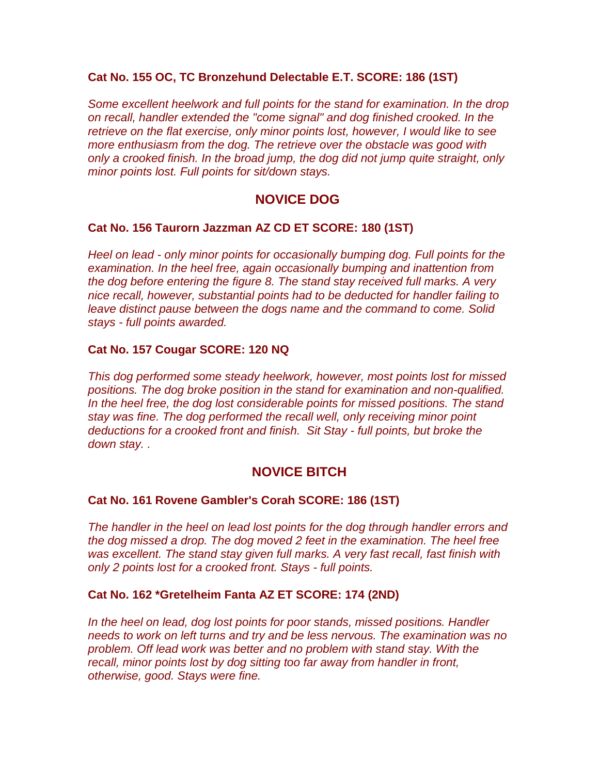## **Cat No. 155 OC, TC Bronzehund Delectable E.T. SCORE: 186 (1ST)**

*Some excellent heelwork and full points for the stand for examination. In the drop on recall, handler extended the "come signal" and dog finished crooked. In the retrieve on the flat exercise, only minor points lost, however, I would like to see more enthusiasm from the dog. The retrieve over the obstacle was good with only a crooked finish. In the broad jump, the dog did not jump quite straight, only minor points lost. Full points for sit/down stays.*

# **NOVICE DOG**

## **Cat No. 156 Taurorn Jazzman AZ CD ET SCORE: 180 (1ST)**

*Heel on lead - only minor points for occasionally bumping dog. Full points for the examination. In the heel free, again occasionally bumping and inattention from the dog before entering the figure 8. The stand stay received full marks. A very nice recall, however, substantial points had to be deducted for handler failing to leave distinct pause between the dogs name and the command to come. Solid stays - full points awarded.*

## **Cat No. 157 Cougar SCORE: 120 NQ**

*This dog performed some steady heelwork, however, most points lost for missed positions. The dog broke position in the stand for examination and non-qualified. In the heel free, the dog lost considerable points for missed positions. The stand stay was fine. The dog performed the recall well, only receiving minor point deductions for a crooked front and finish. Sit Stay - full points, but broke the down stay. .*

# **NOVICE BITCH**

## **Cat No. 161 Rovene Gambler's Corah SCORE: 186 (1ST)**

*The handler in the heel on lead lost points for the dog through handler errors and the dog missed a drop. The dog moved 2 feet in the examination. The heel free was excellent. The stand stay given full marks. A very fast recall, fast finish with only 2 points lost for a crooked front. Stays - full points.*

## **Cat No. 162 \*Gretelheim Fanta AZ ET SCORE: 174 (2ND)**

*In the heel on lead, dog lost points for poor stands, missed positions. Handler needs to work on left turns and try and be less nervous. The examination was no problem. Off lead work was better and no problem with stand stay. With the recall, minor points lost by dog sitting too far away from handler in front, otherwise, good. Stays were fine.*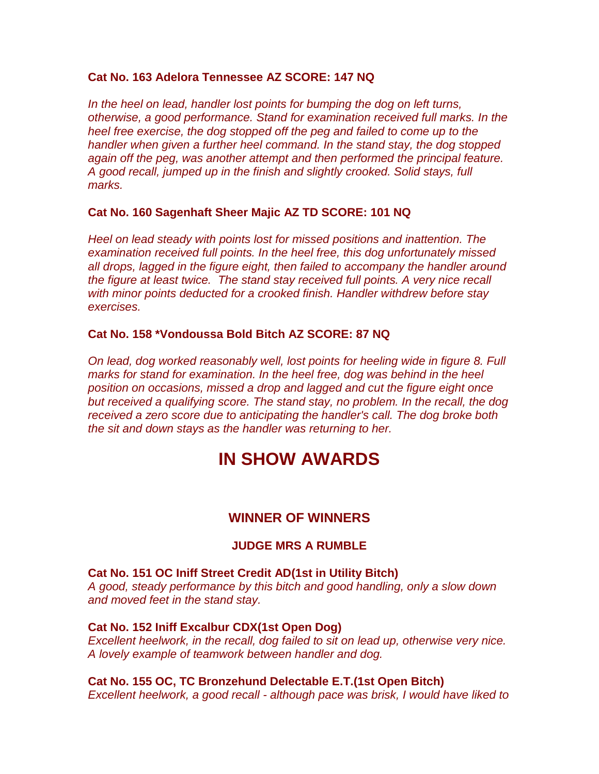#### **Cat No. 163 Adelora Tennessee AZ SCORE: 147 NQ**

*In the heel on lead, handler lost points for bumping the dog on left turns, otherwise, a good performance. Stand for examination received full marks. In the heel free exercise, the dog stopped off the peg and failed to come up to the handler when given a further heel command. In the stand stay, the dog stopped again off the peg, was another attempt and then performed the principal feature. A good recall, jumped up in the finish and slightly crooked. Solid stays, full marks.*

#### **Cat No. 160 Sagenhaft Sheer Majic AZ TD SCORE: 101 NQ**

*Heel on lead steady with points lost for missed positions and inattention. The examination received full points. In the heel free, this dog unfortunately missed all drops, lagged in the figure eight, then failed to accompany the handler around the figure at least twice. The stand stay received full points. A very nice recall with minor points deducted for a crooked finish. Handler withdrew before stay exercises.*

#### **Cat No. 158 \*Vondoussa Bold Bitch AZ SCORE: 87 NQ**

*On lead, dog worked reasonably well, lost points for heeling wide in figure 8. Full marks for stand for examination. In the heel free, dog was behind in the heel position on occasions, missed a drop and lagged and cut the figure eight once but received a qualifying score. The stand stay, no problem. In the recall, the dog received a zero score due to anticipating the handler's call. The dog broke both the sit and down stays as the handler was returning to her.*

# **IN SHOW AWARDS**

## **WINNER OF WINNERS**

#### **JUDGE MRS A RUMBLE**

**Cat No. 151 OC Iniff Street Credit AD(1st in Utility Bitch)** *A good, steady performance by this bitch and good handling, only a slow down and moved feet in the stand stay.*

#### **Cat No. 152 Iniff Excalbur CDX(1st Open Dog)**

*Excellent heelwork, in the recall, dog failed to sit on lead up, otherwise very nice. A lovely example of teamwork between handler and dog.*

#### **Cat No. 155 OC, TC Bronzehund Delectable E.T.(1st Open Bitch)**

*Excellent heelwork, a good recall - although pace was brisk, I would have liked to*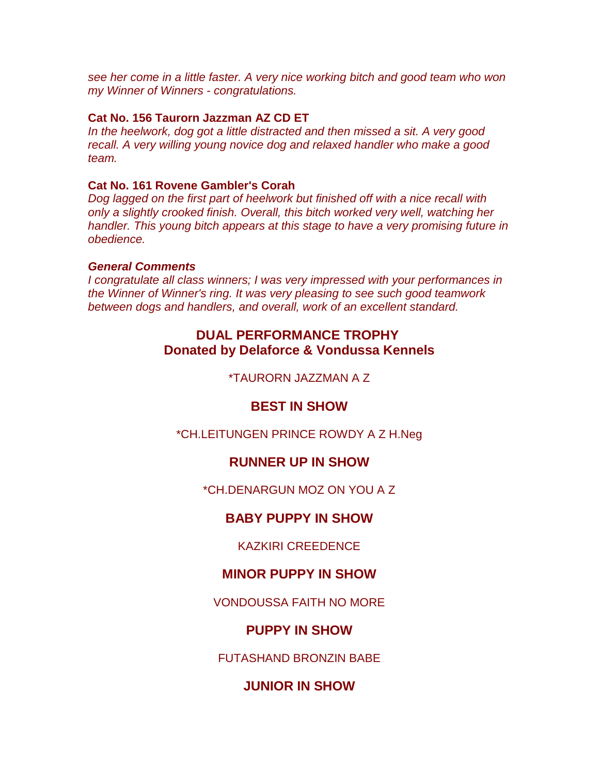*see her come in a little faster. A very nice working bitch and good team who won my Winner of Winners - congratulations.*

#### **Cat No. 156 Taurorn Jazzman AZ CD ET**

*In the heelwork, dog got a little distracted and then missed a sit. A very good recall. A very willing young novice dog and relaxed handler who make a good team.*

#### **Cat No. 161 Rovene Gambler's Corah**

*Dog lagged on the first part of heelwork but finished off with a nice recall with only a slightly crooked finish. Overall, this bitch worked very well, watching her handler. This young bitch appears at this stage to have a very promising future in obedience.*

#### *General Comments*

*I congratulate all class winners; I was very impressed with your performances in the Winner of Winner's ring. It was very pleasing to see such good teamwork between dogs and handlers, and overall, work of an excellent standard.*

# **DUAL PERFORMANCE TROPHY Donated by Delaforce & Vondussa Kennels**

\*TAURORN JAZZMAN A Z

## **BEST IN SHOW**

\*CH.LEITUNGEN PRINCE ROWDY A Z H.Neg

## **RUNNER UP IN SHOW**

\*CH.DENARGUN MOZ ON YOU A Z

## **BABY PUPPY IN SHOW**

KAZKIRI CREEDENCE

## **MINOR PUPPY IN SHOW**

VONDOUSSA FAITH NO MORE

# **PUPPY IN SHOW**

FUTASHAND BRONZIN BABE

# **JUNIOR IN SHOW**